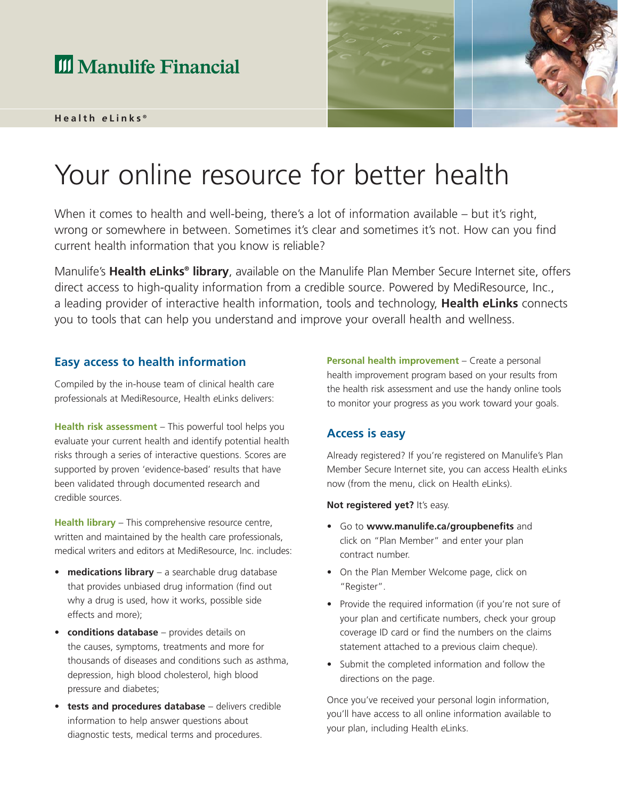# **III** Manulife Financial

#### **Health** *e* **Links ®**



# Your online resource for better health

When it comes to health and well-being, there's a lot of information available – but it's right, wrong or somewhere in between. Sometimes it's clear and sometimes it's not. How can you find current health information that you know is reliable?

Manulife's **Health** *e***Links® library**, available on the Manulife Plan Member Secure Internet site, offers direct access to high-quality information from a credible source. Powered by MediResource, Inc., a leading provider of interactive health information, tools and technology, **Health** *e***Links** connects you to tools that can help you understand and improve your overall health and wellness.

#### **Easy access to health information**

Compiled by the in-house team of clinical health care professionals at MediResource, Health *e*Links delivers:

**Health risk assessment** – This powerful tool helps you evaluate your current health and identify potential health risks through a series of interactive questions. Scores are supported by proven 'evidence-based' results that have been validated through documented research and credible sources.

**Health library** – This comprehensive resource centre, written and maintained by the health care professionals, medical writers and editors at MediResource, Inc. includes:

- **medications library** a searchable drug database that provides unbiased drug information (find out why a drug is used, how it works, possible side effects and more);
- **conditions database** provides details on the causes, symptoms, treatments and more for thousands of diseases and conditions such as asthma, depression, high blood cholesterol, high blood pressure and diabetes;
- **tests and procedures database** delivers credible information to help answer questions about diagnostic tests, medical terms and procedures.

**Personal health improvement** – Create a personal health improvement program based on your results from the health risk assessment and use the handy online tools to monitor your progress as you work toward your goals.

#### **Access is easy**

Already registered? If you're registered on Manulife's Plan Member Secure Internet site, you can access Health *e*Links now (from the menu, click on Health *e*Links).

#### **Not registered yet?** It's easy.

- Go to **www.manulife.ca/groupbenefits** and click on "Plan Member" and enter your plan contract number.
- On the Plan Member Welcome page, click on "Register".
- Provide the required information (if you're not sure of your plan and certificate numbers, check your group coverage ID card or find the numbers on the claims statement attached to a previous claim cheque).
- Submit the completed information and follow the directions on the page.

Once you've received your personal login information, you'll have access to all online information available to your plan, including Health *e*Links.